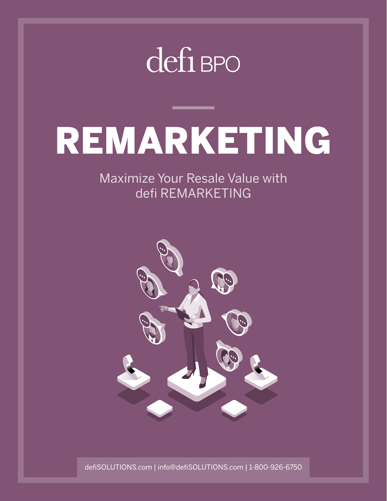## defi BPO

# REMARKETING

Maximize Your Resale Value with defi REMARKETING



defiSOLUTIONS.com | info@defiSOLUTIONS.com | 1-800-926-6750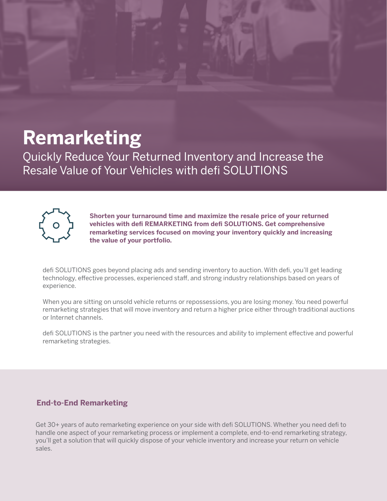## **Remarketing**

Quickly Reduce Your Returned Inventory and Increase the Resale Value of Your Vehicles with defi SOLUTIONS



**Shorten your turnaround time and maximize the resale price of your returned vehicles with defi REMARKETING from defi SOLUTIONS. Get comprehensive remarketing services focused on moving your inventory quickly and increasing the value of your portfolio.**

defi SOLUTIONS goes beyond placing ads and sending inventory to auction. With defi, you'll get leading technology, effective processes, experienced staff, and strong industry relationships based on years of experience.

When you are sitting on unsold vehicle returns or repossessions, you are losing money. You need powerful remarketing strategies that will move inventory and return a higher price either through traditional auctions or Internet channels.

defi SOLUTIONS is the partner you need with the resources and ability to implement effective and powerful remarketing strategies.

#### **End-to-End Remarketing**

Get 30+ years of auto remarketing experience on your side with defi SOLUTIONS. Whether you need defi to handle one aspect of your remarketing process or implement a complete, end-to-end remarketing strategy, you'll get a solution that will quickly dispose of your vehicle inventory and increase your return on vehicle sales.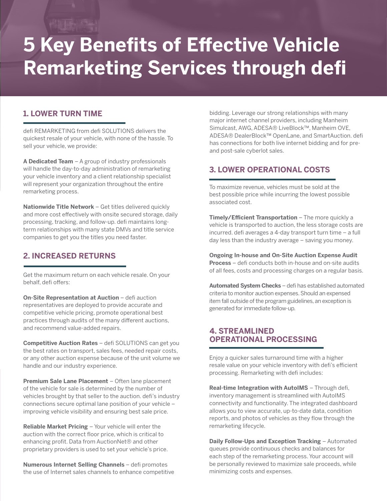## **5 Key Benefits of Effective Vehicle Remarketing Services through defi**

#### **1. LOWER TURN TIME**

defi REMARKETING from defi SOLUTIONS delivers the quickest resale of your vehicle, with none of the hassle. To sell your vehicle, we provide:

**A Dedicated Team** – A group of industry professionals will handle the day-to-day administration of remarketing your vehicle inventory and a client relationship specialist will represent your organization throughout the entire remarketing process.

**Nationwide Title Network** – Get titles delivered quickly and more cost effectively with onsite secured storage, daily processing, tracking, and follow-up. defi maintains longterm relationships with many state DMVs and title service companies to get you the titles you need faster.

#### **2. INCREASED RETURNS**

Get the maximum return on each vehicle resale. On your behalf, defi offers:

**On-Site Representation at Auction** – defi auction representatives are deployed to provide accurate and competitive vehicle pricing, promote operational best practices through audits of the many different auctions, and recommend value-added repairs.

**Competitive Auction Rates** – defi SOLUTIONS can get you the best rates on transport, sales fees, needed repair costs, or any other auction expense because of the unit volume we handle and our industry experience.

**Premium Sale Lane Placement** – Often lane placement of the vehicle for sale is determined by the number of vehicles brought by that seller to the auction. defi's industry connections secure optimal lane position of your vehicle – improving vehicle visibility and ensuring best sale price.

**Reliable Market Pricing** – Your vehicle will enter the auction with the correct floor price, which is critical to enhancing profit. Data from AuctionNet® and other proprietary providers is used to set your vehicle's price.

**Numerous Internet Selling Channels** – defi promotes the use of Internet sales channels to enhance competitive bidding. Leverage our strong relationships with many major internet channel providers, including Manheim Simulcast, AWG, ADESA® LiveBlock™, Manheim OVE, ADESA® DealerBlock™ OpenLane, and SmartAuction. defi has connections for both live internet bidding and for preand post-sale cyberlot sales.

#### **3. LOWER OPERATIONAL COSTS**

To maximize revenue, vehicles must be sold at the best possible price while incurring the lowest possible associated cost.

**Timely/Efficient Transportation** – The more quickly a vehicle is transported to auction, the less storage costs are incurred. defi averages a 4-day transport turn time – a full day less than the industry average – saving you money.

**Ongoing In-house and On-Site Auction Expense Audit Process** – defi conducts both in-house and on-site audits of all fees, costs and processing charges on a regular basis.

**Automated System Checks** – defi has established automated criteria to monitor auction expenses. Should an expensed item fall outside of the program guidelines, an exception is generated for immediate follow-up.

#### **4. STREAMLINED OPERATIONAL PROCESSING**

Enjoy a quicker sales turnaround time with a higher resale value on your vehicle inventory with defi's efficient processing. Remarketing with defi includes:

**Real-time Integration with AutoIMS - Through defi,** inventory management is streamlined with AutoIMS connectivity and functionality. The integrated dashboard allows you to view accurate, up-to-date data, condition reports, and photos of vehicles as they flow through the remarketing lifecycle.

**Daily Follow-Ups and Exception Tracking - Automated** queues provide continuous checks and balances for each step of the remarketing process. Your account will be personally reviewed to maximize sale proceeds, while minimizing costs and expenses.